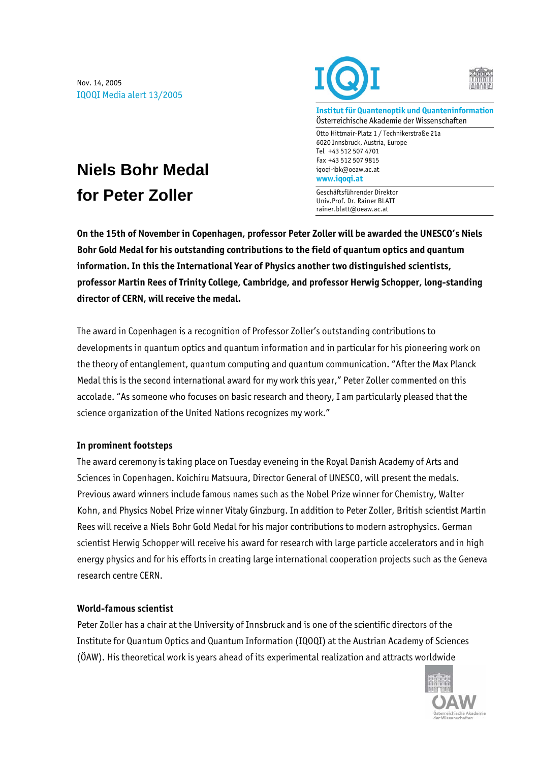Nov. 14, 2005 IQOQI Media alert 13/2005





**Institut für Quantenoptik und Quanteninformation**  Österreichische Akademie der Wissenschaften

Otto Hittmair-Platz 1 / Technikerstraße 21a 6020 Innsbruck, Austria, Europe Tel +43 512 507 4701 Fax +43 512 507 9815 iqoqi-ibk@oeaw.ac.at **www.iqoqi.at** 

Geschäftsführender Direktor Univ.Prof. Dr. Rainer BLATT rainer.blatt@oeaw.ac.at

# **Niels Bohr Medal for Peter Zoller**

**On the 15th of November in Copenhagen, professor Peter Zoller will be awarded the UNESCO's Niels Bohr Gold Medal for his outstanding contributions to the field of quantum optics and quantum information. In this the International Year of Physics another two distinguished scientists, professor Martin Rees of Trinity College, Cambridge, and professor Herwig Schopper, long-standing director of CERN, will receive the medal.** 

The award in Copenhagen is a recognition of Professor Zoller's outstanding contributions to developments in quantum optics and quantum information and in particular for his pioneering work on the theory of entanglement, quantum computing and quantum communication. "After the Max Planck Medal this is the second international award for my work this year," Peter Zoller commented on this accolade. "As someone who focuses on basic research and theory, I am particularly pleased that the science organization of the United Nations recognizes my work."

## **In prominent footsteps**

The award ceremony is taking place on Tuesday eveneing in the Royal Danish Academy of Arts and Sciences in Copenhagen. Koichiru Matsuura, Director General of UNESCO, will present the medals. Previous award winners include famous names such as the Nobel Prize winner for Chemistry, Walter Kohn, and Physics Nobel Prize winner Vitaly Ginzburg. In addition to Peter Zoller, British scientist Martin Rees will receive a Niels Bohr Gold Medal for his major contributions to modern astrophysics. German scientist Herwig Schopper will receive his award for research with large particle accelerators and in high energy physics and for his efforts in creating large international cooperation projects such as the Geneva research centre CERN.

## **World-famous scientist**

Peter Zoller has a chair at the University of Innsbruck and is one of the scientific directors of the Institute for Quantum Optics and Quantum Information (IQOQI) at the Austrian Academy of Sciences (ÖAW). His theoretical work is years ahead of its experimental realization and attracts worldwide